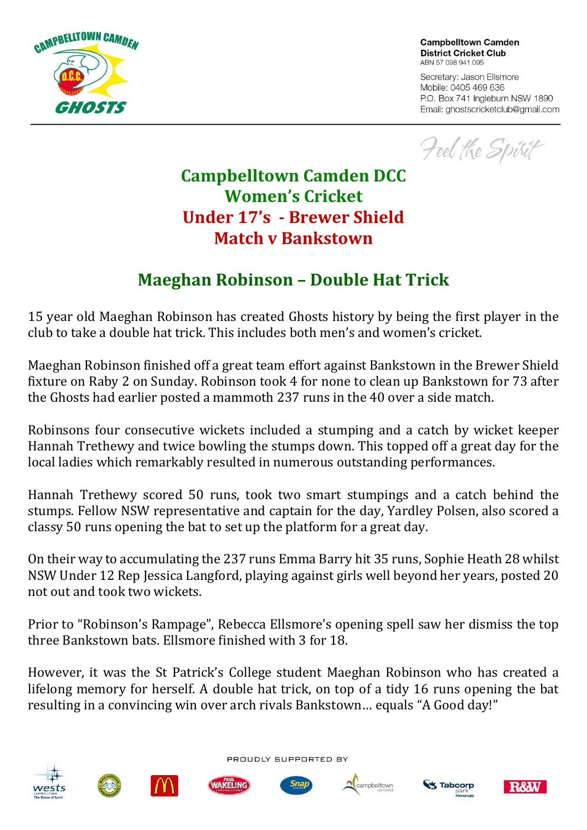

**Campbelltown Camden District Cricket Club** ABN 57 098 941 095

Secretary: Jason Ellsmore Mobile: 0405 469 636 P.O. Box 741 Ingleburn NSW 1890 Email: ghostscricketclub@gmail.com

Feel the Spirit

## **Campbelltown Camden DCC Women's Cricket Under 17's - Brewer Shield Match v Bankstown**

## **Maeghan Robinson – Double Hat Trick**

15 year old Maeghan Robinson has created Ghosts history by being the first player in the club to take a double hat trick. This includes both men's and women's cricket.

Maeghan Robinson finished off a great team effort against Bankstown in the Brewer Shield fixture on Raby 2 on Sunday. Robinson took 4 for none to clean up Bankstown for 73 after the Ghosts had earlier posted a mammoth 237 runs in the 40 over a side match.

Robinsons four consecutive wickets included a stumping and a catch by wicket keeper Hannah Trethewy and twice bowling the stumps down. This topped off a great day for the local ladies which remarkably resulted in numerous outstanding performances.

Hannah Trethewy scored 50 runs, took two smart stumpings and a catch behind the stumps. Fellow NSW representative and captain for the day, Yardley Polsen, also scored a classy 50 runs opening the bat to set up the platform for a great day.

On their way to accumulating the 237 runs Emma Barry hit 35 runs, Sophie Heath 28 whilst NSW Under 12 Rep Jessica Langford, playing against girls well beyond her years, posted 20 not out and took two wickets.

Prior to "Robinson's Rampage", Rebecca Ellsmore's opening spell saw her dismiss the top three Bankstown bats. Ellsmore finished with 3 for 18.

However, it was the St Patrick's College student Maeghan Robinson who has created a lifelong memory for herself. A double hat trick, on top of a tidy 16 runs opening the bat resulting in a convincing win over arch rivals Bankstown… equals "A Good day!"





PROUDLY SUPPORTED BY